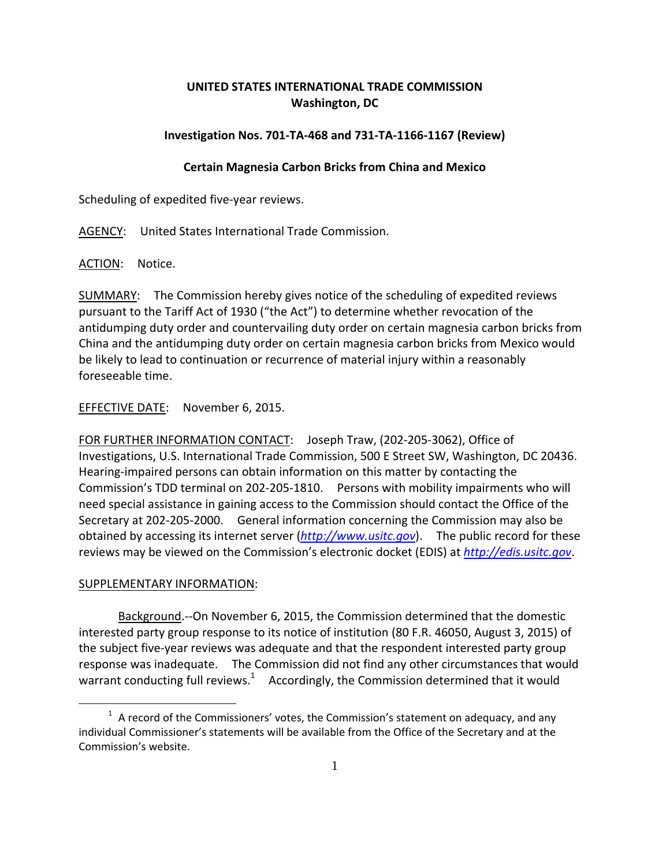# **UNITED STATES INTERNATIONAL TRADE COMMISSION Washington, DC**

# **Investigation Nos. 701‐TA‐468 and 731‐TA‐1166‐1167 (Review)**

# **Certain Magnesia Carbon Bricks from China and Mexico**

Scheduling of expedited five‐year reviews.

AGENCY: United States International Trade Commission.

ACTION: Notice.

SUMMARY: The Commission hereby gives notice of the scheduling of expedited reviews pursuant to the Tariff Act of 1930 ("the Act") to determine whether revocation of the antidumping duty order and countervailing duty order on certain magnesia carbon bricks from China and the antidumping duty order on certain magnesia carbon bricks from Mexico would be likely to lead to continuation or recurrence of material injury within a reasonably foreseeable time.

### EFFECTIVE DATE: November 6, 2015.

FOR FURTHER INFORMATION CONTACT: Joseph Traw, (202‐205‐3062), Office of Investigations, U.S. International Trade Commission, 500 E Street SW, Washington, DC 20436. Hearing‐impaired persons can obtain information on this matter by contacting the Commission's TDD terminal on 202‐205‐1810. Persons with mobility impairments who will need special assistance in gaining access to the Commission should contact the Office of the Secretary at 202‐205‐2000. General information concerning the Commission may also be obtained by accessing its internet server (*http://www.usitc.gov*). The public record for these reviews may be viewed on the Commission's electronic docket (EDIS) at *http://edis.usitc.gov*.

### SUPPLEMENTARY INFORMATION:

 $\overline{a}$ 

Background.--On November 6, 2015, the Commission determined that the domestic interested party group response to its notice of institution (80 F.R. 46050, August 3, 2015) of the subject five‐year reviews was adequate and that the respondent interested party group response was inadequate. The Commission did not find any other circumstances that would warrant conducting full reviews.<sup>1</sup> Accordingly, the Commission determined that it would

 $<sup>1</sup>$  A record of the Commissioners' votes, the Commission's statement on adequacy, and any</sup> individual Commissioner's statements will be available from the Office of the Secretary and at the Commission's website.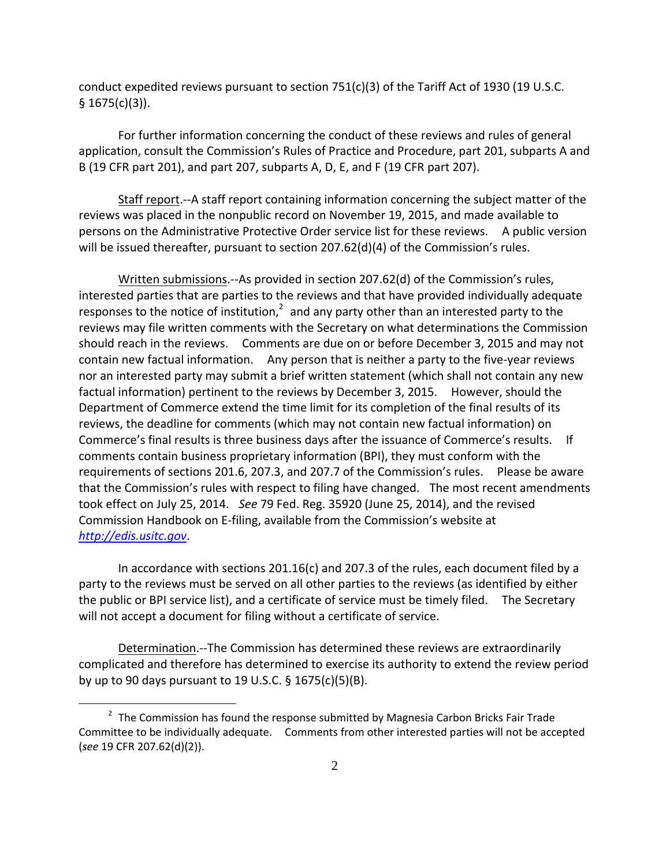conduct expedited reviews pursuant to section  $751(c)(3)$  of the Tariff Act of 1930 (19 U.S.C.  $§ 1675(c)(3)$ ).

For further information concerning the conduct of these reviews and rules of general application, consult the Commission's Rules of Practice and Procedure, part 201, subparts A and B (19 CFR part 201), and part 207, subparts A, D, E, and F (19 CFR part 207).

Staff report.‐‐A staff report containing information concerning the subject matter of the reviews was placed in the nonpublic record on November 19, 2015, and made available to persons on the Administrative Protective Order service list for these reviews. A public version will be issued thereafter, pursuant to section 207.62(d)(4) of the Commission's rules.

Written submissions.‐‐As provided in section 207.62(d) of the Commission's rules, interested parties that are parties to the reviews and that have provided individually adequate responses to the notice of institution, $^2$  and any party other than an interested party to the reviews may file written comments with the Secretary on what determinations the Commission should reach in the reviews. Comments are due on or before December 3, 2015 and may not contain new factual information. Any person that is neither a party to the five-year reviews nor an interested party may submit a brief written statement (which shall not contain any new factual information) pertinent to the reviews by December 3, 2015. However, should the Department of Commerce extend the time limit for its completion of the final results of its reviews, the deadline for comments (which may not contain new factual information) on Commerce's final results is three business days after the issuance of Commerce's results. If comments contain business proprietary information (BPI), they must conform with the requirements of sections 201.6, 207.3, and 207.7 of the Commission's rules. Please be aware that the Commission's rules with respect to filing have changed. The most recent amendments took effect on July 25, 2014. *See* 79 Fed. Reg. 35920 (June 25, 2014), and the revised Commission Handbook on E‐filing, available from the Commission's website at *http://edis.usitc.gov*.

In accordance with sections 201.16(c) and 207.3 of the rules, each document filed by a party to the reviews must be served on all other parties to the reviews (as identified by either the public or BPI service list), and a certificate of service must be timely filed. The Secretary will not accept a document for filing without a certificate of service.

Determination. -- The Commission has determined these reviews are extraordinarily complicated and therefore has determined to exercise its authority to extend the review period by up to 90 days pursuant to 19 U.S.C. § 1675(c)(5)(B).

 $\overline{a}$ 

 $2$  The Commission has found the response submitted by Magnesia Carbon Bricks Fair Trade Committee to be individually adequate. Comments from other interested parties will not be accepted (*see* 19 CFR 207.62(d)(2)).